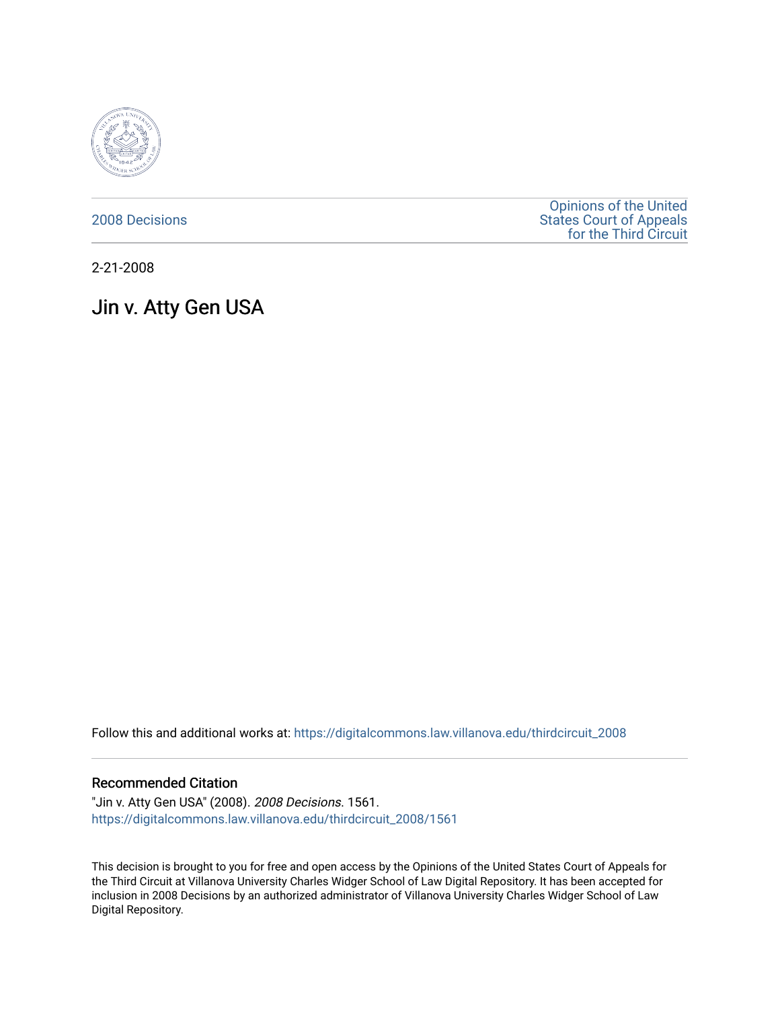

[2008 Decisions](https://digitalcommons.law.villanova.edu/thirdcircuit_2008)

[Opinions of the United](https://digitalcommons.law.villanova.edu/thirdcircuit)  [States Court of Appeals](https://digitalcommons.law.villanova.edu/thirdcircuit)  [for the Third Circuit](https://digitalcommons.law.villanova.edu/thirdcircuit) 

2-21-2008

# Jin v. Atty Gen USA

Follow this and additional works at: [https://digitalcommons.law.villanova.edu/thirdcircuit\\_2008](https://digitalcommons.law.villanova.edu/thirdcircuit_2008?utm_source=digitalcommons.law.villanova.edu%2Fthirdcircuit_2008%2F1561&utm_medium=PDF&utm_campaign=PDFCoverPages) 

## Recommended Citation

"Jin v. Atty Gen USA" (2008). 2008 Decisions. 1561. [https://digitalcommons.law.villanova.edu/thirdcircuit\\_2008/1561](https://digitalcommons.law.villanova.edu/thirdcircuit_2008/1561?utm_source=digitalcommons.law.villanova.edu%2Fthirdcircuit_2008%2F1561&utm_medium=PDF&utm_campaign=PDFCoverPages) 

This decision is brought to you for free and open access by the Opinions of the United States Court of Appeals for the Third Circuit at Villanova University Charles Widger School of Law Digital Repository. It has been accepted for inclusion in 2008 Decisions by an authorized administrator of Villanova University Charles Widger School of Law Digital Repository.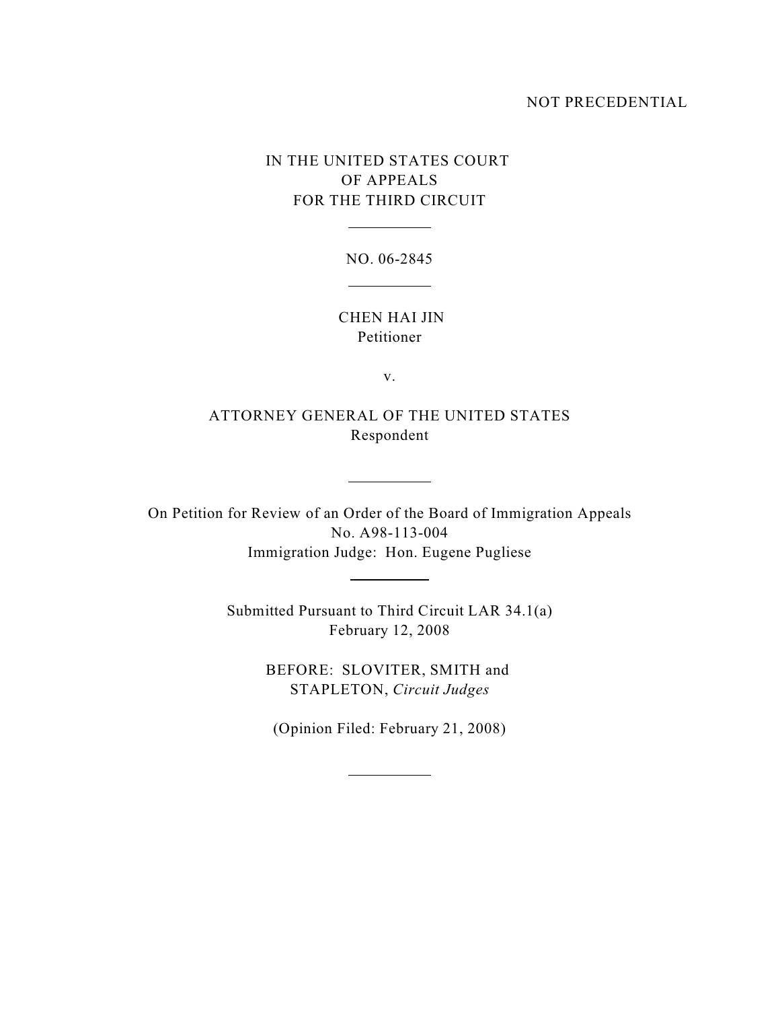### NOT PRECEDENTIAL

# IN THE UNITED STATES COURT OF APPEALS FOR THE THIRD CIRCUIT

 $\overline{a}$ 

NO. 06-2845  $\overline{\phantom{a}}$ 

 CHEN HAI JIN Petitioner

v.

ATTORNEY GENERAL OF THE UNITED STATES Respondent

 $\overline{a}$ 

 $\overline{a}$ 

 $\overline{a}$ 

On Petition for Review of an Order of the Board of Immigration Appeals No. A98-113-004 Immigration Judge: Hon. Eugene Pugliese

> Submitted Pursuant to Third Circuit LAR 34.1(a) February 12, 2008

> > BEFORE: SLOVITER, SMITH and STAPLETON, *Circuit Judges*

(Opinion Filed: February 21, 2008)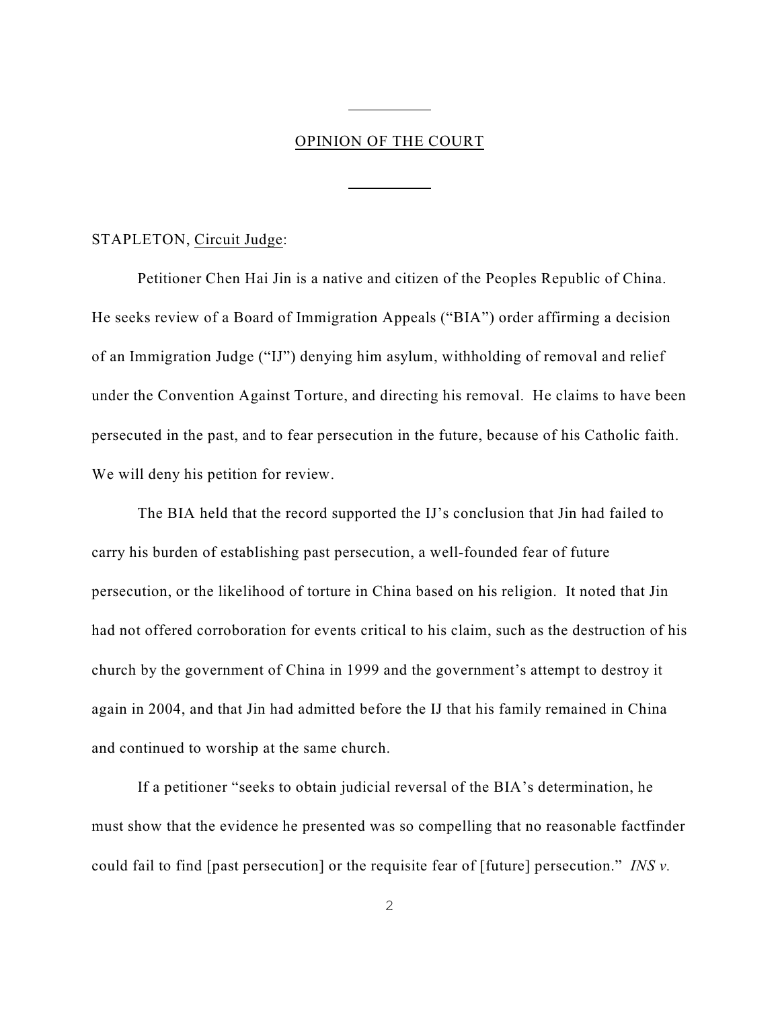## OPINION OF THE COURT

 $\overline{a}$ 

 $\overline{a}$ 

#### STAPLETON, Circuit Judge:

Petitioner Chen Hai Jin is a native and citizen of the Peoples Republic of China. He seeks review of a Board of Immigration Appeals ("BIA") order affirming a decision of an Immigration Judge ("IJ") denying him asylum, withholding of removal and relief under the Convention Against Torture, and directing his removal. He claims to have been persecuted in the past, and to fear persecution in the future, because of his Catholic faith. We will deny his petition for review.

The BIA held that the record supported the IJ's conclusion that Jin had failed to carry his burden of establishing past persecution, a well-founded fear of future persecution, or the likelihood of torture in China based on his religion. It noted that Jin had not offered corroboration for events critical to his claim, such as the destruction of his church by the government of China in 1999 and the government's attempt to destroy it again in 2004, and that Jin had admitted before the IJ that his family remained in China and continued to worship at the same church.

If a petitioner "seeks to obtain judicial reversal of the BIA's determination, he must show that the evidence he presented was so compelling that no reasonable factfinder could fail to find [past persecution] or the requisite fear of [future] persecution." *INS v.*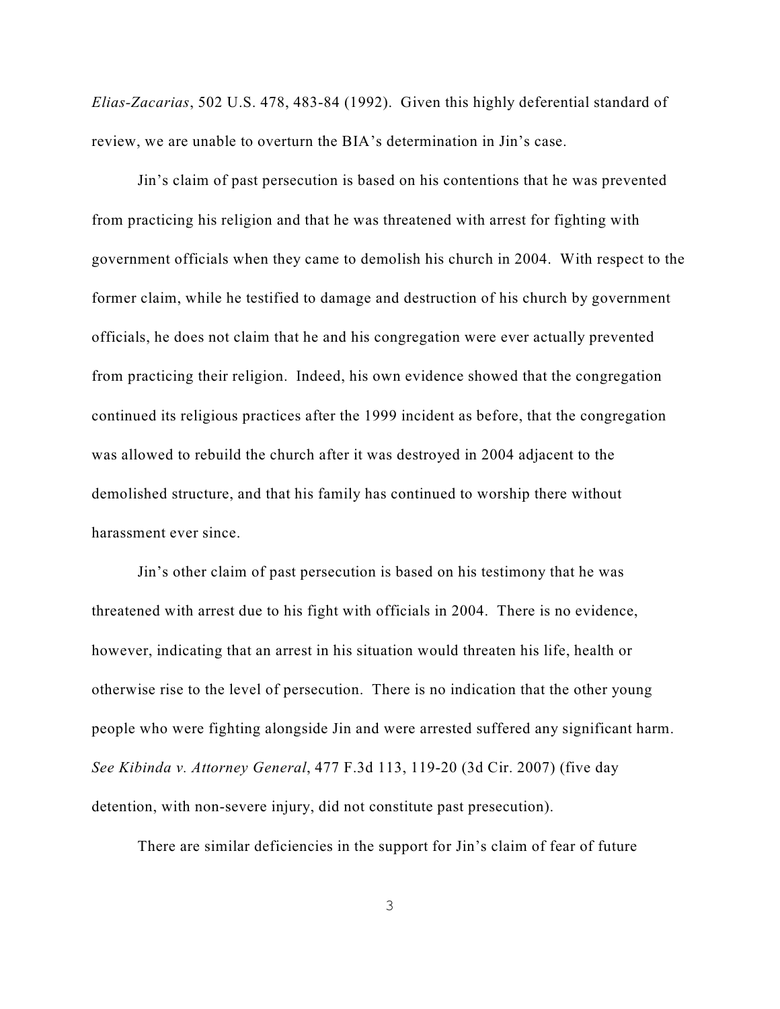*Elias-Zacarias*, 502 U.S. 478, 483-84 (1992). Given this highly deferential standard of review, we are unable to overturn the BIA's determination in Jin's case.

Jin's claim of past persecution is based on his contentions that he was prevented from practicing his religion and that he was threatened with arrest for fighting with government officials when they came to demolish his church in 2004. With respect to the former claim, while he testified to damage and destruction of his church by government officials, he does not claim that he and his congregation were ever actually prevented from practicing their religion. Indeed, his own evidence showed that the congregation continued its religious practices after the 1999 incident as before, that the congregation was allowed to rebuild the church after it was destroyed in 2004 adjacent to the demolished structure, and that his family has continued to worship there without harassment ever since.

Jin's other claim of past persecution is based on his testimony that he was threatened with arrest due to his fight with officials in 2004. There is no evidence, however, indicating that an arrest in his situation would threaten his life, health or otherwise rise to the level of persecution. There is no indication that the other young people who were fighting alongside Jin and were arrested suffered any significant harm. *See Kibinda v. Attorney General*, 477 F.3d 113, 119-20 (3d Cir. 2007) (five day detention, with non-severe injury, did not constitute past presecution).

There are similar deficiencies in the support for Jin's claim of fear of future